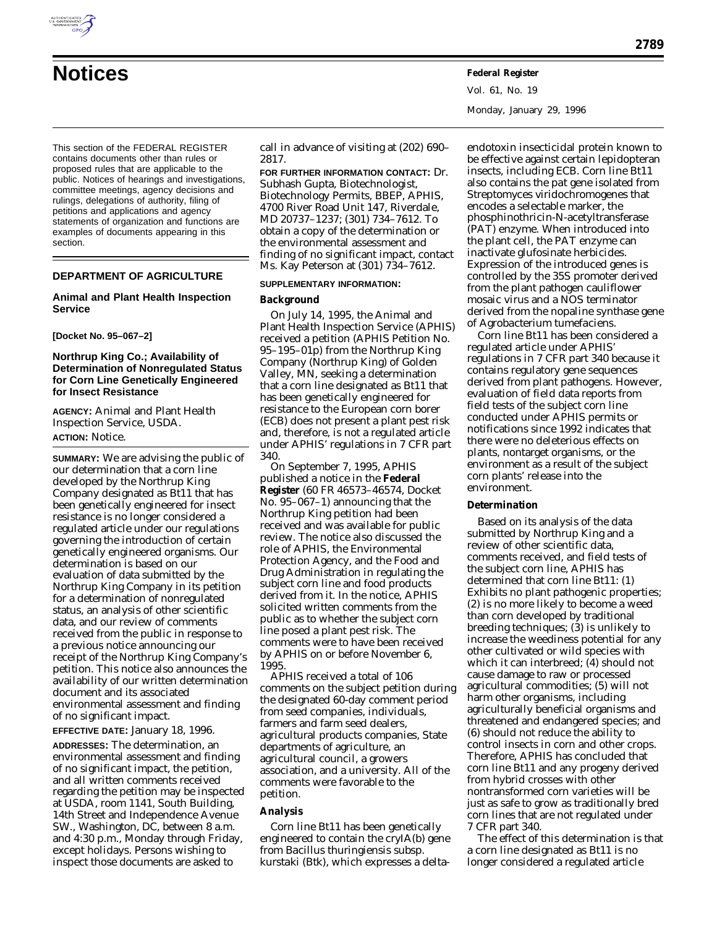This section of the FEDERAL REGISTER contains documents other than rules or proposed rules that are applicable to the public. Notices of hearings and investigations, committee meetings, agency decisions and rulings, delegations of authority, filing of petitions and applications and agency statements of organization and functions are examples of documents appearing in this section.

# **DEPARTMENT OF AGRICULTURE**

## **Animal and Plant Health Inspection Service**

#### **[Docket No. 95–067–2]**

# **Northrup King Co.; Availability of Determination of Nonregulated Status for Corn Line Genetically Engineered for Insect Resistance**

**AGENCY:** Animal and Plant Health Inspection Service, USDA. **ACTION:** Notice.

**SUMMARY:** We are advising the public of our determination that a corn line developed by the Northrup King Company designated as Bt11 that has been genetically engineered for insect resistance is no longer considered a regulated article under our regulations governing the introduction of certain genetically engineered organisms. Our determination is based on our evaluation of data submitted by the Northrup King Company in its petition for a determination of nonregulated status, an analysis of other scientific data, and our review of comments received from the public in response to a previous notice announcing our receipt of the Northrup King Company's petition. This notice also announces the availability of our written determination document and its associated environmental assessment and finding of no significant impact.

**EFFECTIVE DATE:** January 18, 1996.

**ADDRESSES:** The determination, an environmental assessment and finding of no significant impact, the petition, and all written comments received regarding the petition may be inspected at USDA, room 1141, South Building, 14th Street and Independence Avenue SW., Washington, DC, between 8 a.m. and 4:30 p.m., Monday through Friday, except holidays. Persons wishing to inspect those documents are asked to

call in advance of visiting at (202) 690– 2817.

**FOR FURTHER INFORMATION CONTACT:** Dr. Subhash Gupta, Biotechnologist, Biotechnology Permits, BBEP, APHIS, 4700 River Road Unit 147, Riverdale, MD 20737–1237; (301) 734–7612. To obtain a copy of the determination or the environmental assessment and finding of no significant impact, contact Ms. Kay Peterson at (301) 734–7612.

## **SUPPLEMENTARY INFORMATION:**

## **Background**

On July 14, 1995, the Animal and Plant Health Inspection Service (APHIS) received a petition (APHIS Petition No. 95–195–01p) from the Northrup King Company (Northrup King) of Golden Valley, MN, seeking a determination that a corn line designated as Bt11 that has been genetically engineered for resistance to the European corn borer (ECB) does not present a plant pest risk and, therefore, is not a regulated article under APHIS' regulations in 7 CFR part 340.

On September 7, 1995, APHIS published a notice in the **Federal Register** (60 FR 46573–46574, Docket No. 95–067–1) announcing that the Northrup King petition had been received and was available for public review. The notice also discussed the role of APHIS, the Environmental Protection Agency, and the Food and Drug Administration in regulating the subject corn line and food products derived from it. In the notice, APHIS solicited written comments from the public as to whether the subject corn line posed a plant pest risk. The comments were to have been received by APHIS on or before November 6, 1995.

APHIS received a total of 106 comments on the subject petition during the designated 60-day comment period from seed companies, individuals, farmers and farm seed dealers, agricultural products companies, State departments of agriculture, an agricultural council, a growers association, and a university. All of the comments were favorable to the petition.

#### **Analysis**

Corn line Bt11 has been genetically engineered to contain the *cryIA(b)* gene from *Bacillus thuringiensis* subsp. *kurstaki* (Btk), which expresses a delta-

endotoxin insecticidal protein known to be effective against certain lepidopteran insects, including ECB. Corn line Bt11 also contains the *pat* gene isolated from *Streptomyces viridochromogenes* that encodes a selectable marker, the phosphinothricin-N-acetyltransferase (PAT) enzyme. When introduced into the plant cell, the PAT enzyme can inactivate glufosinate herbicides. Expression of the introduced genes is controlled by the 35S promoter derived from the plant pathogen cauliflower mosaic virus and a NOS terminator derived from the nopaline synthase gene of *Agrobacterium tumefaciens*.

Corn line Bt11 has been considered a regulated article under APHIS' regulations in 7 CFR part 340 because it contains regulatory gene sequences derived from plant pathogens. However, evaluation of field data reports from field tests of the subject corn line conducted under APHIS permits or notifications since 1992 indicates that there were no deleterious effects on plants, nontarget organisms, or the environment as a result of the subject corn plants' release into the environment.

#### **Determination**

Based on its analysis of the data submitted by Northrup King and a review of other scientific data, comments received, and field tests of the subject corn line, APHIS has determined that corn line Bt11: (1) Exhibits no plant pathogenic properties; (2) is no more likely to become a weed than corn developed by traditional breeding techniques; (3) is unlikely to increase the weediness potential for any other cultivated or wild species with which it can interbreed; (4) should not cause damage to raw or processed agricultural commodities; (5) will not harm other organisms, including agriculturally beneficial organisms and threatened and endangered species; and (6) should not reduce the ability to control insects in corn and other crops. Therefore, APHIS has concluded that corn line Bt11 and any progeny derived from hybrid crosses with other nontransformed corn varieties will be just as safe to grow as traditionally bred corn lines that are not regulated under 7 CFR part 340.

The effect of this determination is that a corn line designated as Bt11 is no longer considered a regulated article

Vol. 61, No. 19

Monday, January 29, 1996